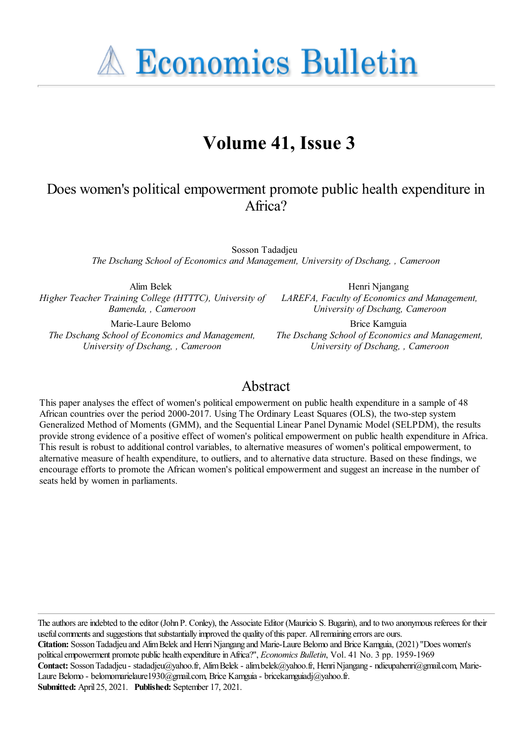**A Economics Bulletin** 

# **Volume 41, Issue 3**

# Does women's political empowerment promote public health expenditure in Africa?

Sosson Tadadjeu *The Dschang School of Economics and Management, University of Dschang, , Cameroon*

Alim Belek *Higher Teacher Training College (HTTTC), University of Bamenda, , Cameroon*

Marie-Laure Belomo *The Dschang School of Economics and Management, University of Dschang, , Cameroon*

Henri Njangang *LAREFA, Faculty of Economics and Management, University of Dschang, Cameroon*

Brice Kamguia *The Dschang School of Economics and Management, University of Dschang, , Cameroon*

# Abstract

This paper analyses the effect of women's political empowerment on public health expenditure in a sample of 48 African countries over the period 2000-2017. Using The Ordinary Least Squares (OLS), the two-step system Generalized Method of Moments (GMM), and the Sequential Linear Panel Dynamic Model (SELPDM), the results provide strong evidence of a positive effect of women's political empowerment on public health expenditure in Africa. This result is robust to additional control variables, to alternative measures of women's political empowerment, to alternative measure of health expenditure, to outliers, and to alternative data structure. Based on these findings, we encourage efforts to promote the African women's political empowerment and suggest an increase in the number of seats held by women in parliaments.

The authors are indebted to the editor (John P. Conley), the Associate Editor (Mauricio S. Bugarin), and to two anonymous referees for their useful comments and suggestions that substantially improved the quality of this paper. All remaining errors are ours. **Citation:** SossonTadadjeu and AlimBelek and HenriNjangang and Marie-Laure Belomo and Brice Kamguia, (2021) ''Does women's political empowerment promote public health expenditure in Africa?", *Economics Bulletin*, Vol. 41 No. 3 pp. 1959-1969 Contact: Sosson Tadadjeu - stadadjeu@yahoo.fr, Alim Belek - alim.belek@yahoo.fr, Henri Njangang - ndieupahenri@gmail.com, Marie-Laure Belomo - belomomarielaure1930@gmail.com, Brice Kamguia - bricekamguiadj@yahoo.fr. **Submitted:** April 25, 2021. **Published:** September 17, 2021.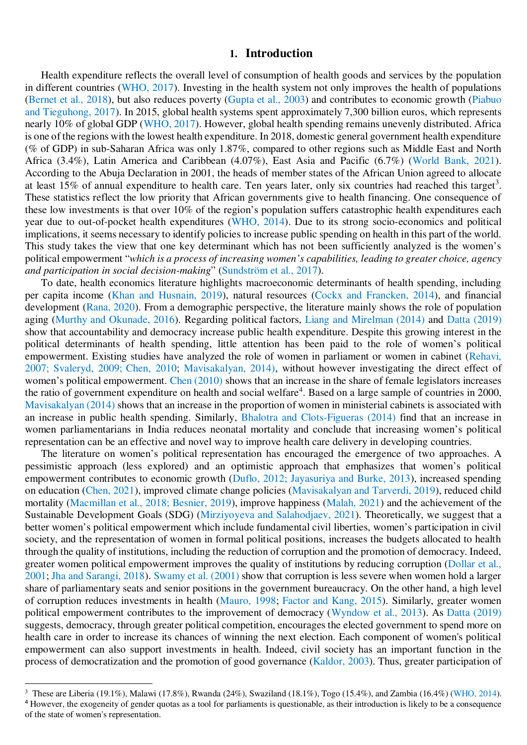## **1. Introduction**

Health expenditure reflects the overall level of consumption of health goods and services by the population in different countries (WHO, 2017). Investing in the health system not only improves the health of populations (Bernet et al., 2018), but also reduces poverty (Gupta et al., 2003) and contributes to economic growth (Piabuo and Tieguhong, 2017). In 2015, global health systems spent approximately 7,300 billion euros, which represents nearly 10% of global GDP (WHO, 2017). However, global health spending remains unevenly distributed. Africa is one of the regions with the lowest health expenditure. In 2018, domestic general government health expenditure (% of GDP) in sub-Saharan Africa was only 1.87%, compared to other regions such as Middle East and North Africa (3.4%), Latin America and Caribbean (4.07%), East Asia and Pacific (6.7%) (World Bank, 2021). According to the Abuja Declaration in 2001, the heads of member states of the African Union agreed to allocate at least 15% of annual expenditure to health care. Ten years later, only six countries had reached this target<sup>3</sup>. These statistics reflect the low priority that African governments give to health financing. One consequence of these low investments is that over 10% of the region's population suffers catastrophic health expenditures each year due to out-of-pocket health expenditures (WHO, 2014). Due to its strong socio-economics and political implications, it seems necessary to identify policies to increase public spending on health in this part of the world. This study takes the view that one key determinant which has not been sufficiently analyzed is the women's political empowerment "*which is a process of increasing women's capabilities, leading to greater choice, agency and participation in social decision-making*" (Sundström et al., 2017).

To date, health economics literature highlights macroeconomic determinants of health spending, including per capita income (Khan and Husnain, 2019), natural resources (Cockx and Francken, 2014), and financial development (Rana, 2020). From a demographic perspective, the literature mainly shows the role of population aging (Murthy and Okunade, 2016). Regarding political factors, Liang and Mirelman (2014) and Datta (2019) show that accountability and democracy increase public health expenditure. Despite this growing interest in the political determinants of health spending, little attention has been paid to the role of women's political empowerment. Existing studies have analyzed the role of women in parliament or women in cabinet (Rehavi, 2007; Svaleryd, 2009; Chen, 2010; Mavisakalyan, 2014), without however investigating the direct effect of women's political empowerment. Chen (2010) shows that an increase in the share of female legislators increases the ratio of government expenditure on health and social welfare<sup>4</sup>. Based on a large sample of countries in 2000, Mavisakalyan (2014) shows that an increase in the proportion of women in ministerial cabinets is associated with an increase in public health spending. Similarly, Bhalotra and Clots-Figueras (2014) find that an increase in women parliamentarians in India reduces neonatal mortality and conclude that increasing women's political representation can be an effective and novel way to improve health care delivery in developing countries.

The literature on women's political representation has encouraged the emergence of two approaches. A pessimistic approach (less explored) and an optimistic approach that emphasizes that women's political empowerment contributes to economic growth (Duflo, 2012; Jayasuriya and Burke, 2013), increased spending on education (Chen, 2021), improved climate change policies (Mavisakalyan and Tarverdi, 2019), reduced child mortality (Macmillan et al., 2018; Besnier, 2019), improve happiness (Malah, 2021) and the achievement of the Sustainable Development Goals (SDG) (Mirziyoyeva and Salahodjaev, 2021). Theoretically, we suggest that a better women's political empowerment which include fundamental civil liberties, women's participation in civil society, and the representation of women in formal political positions, increases the budgets allocated to health through the quality of institutions, including the reduction of corruption and the promotion of democracy. Indeed, greater women political empowerment improves the quality of institutions by reducing corruption (Dollar et al., 2001; Jha and Sarangi, 2018). Swamy et al. (2001) show that corruption is less severe when women hold a larger share of parliamentary seats and senior positions in the government bureaucracy. On the other hand, a high level of corruption reduces investments in health (Mauro, 1998; Factor and Kang, 2015). Similarly, greater women political empowerment contributes to the improvement of democracy (Wyndow et al., 2013). As Datta (2019) suggests, democracy, through greater political competition, encourages the elected government to spend more on health care in order to increase its chances of winning the next election. Each component of women's political empowerment can also support investments in health. Indeed, civil society has an important function in the process of democratization and the promotion of good governance (Kaldor, 2003). Thus, greater participation of

 $\overline{a}$ 

<sup>&</sup>lt;sup>3</sup> These are Liberia (19.1%), Malawi (17.8%), Rwanda (24%), Swaziland (18.1%), Togo (15.4%), and Zambia (16.4%) (WHO, 2014). <sup>4</sup> However, the exogeneity of gender quotas as a tool for parliaments is questionable, as their introduction is likely to be a consequence of the state of women's representation.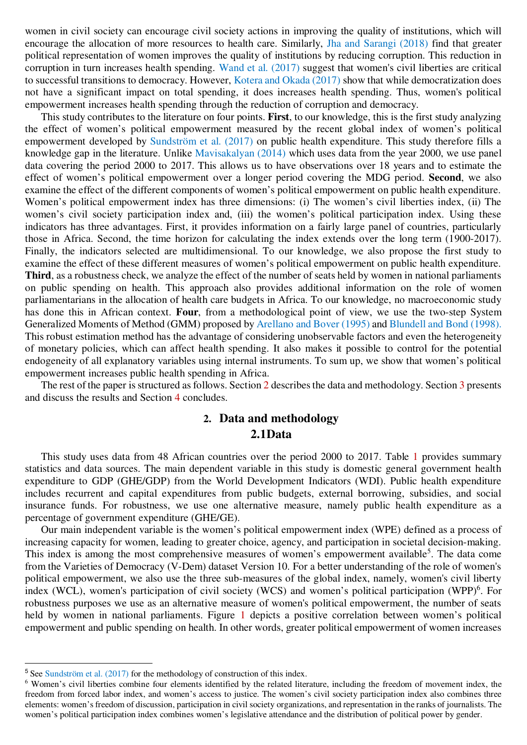women in civil society can encourage civil society actions in improving the quality of institutions, which will encourage the allocation of more resources to health care. Similarly, Jha and Sarangi (2018) find that greater political representation of women improves the quality of institutions by reducing corruption. This reduction in corruption in turn increases health spending. Wand et al. (2017) suggest that women's civil liberties are critical to successful transitions to democracy. However, Kotera and Okada (2017) show that while democratization does not have a significant impact on total spending, it does increases health spending. Thus, women's political empowerment increases health spending through the reduction of corruption and democracy.

This study contributes to the literature on four points. **First**, to our knowledge, this is the first study analyzing the effect of women's political empowerment measured by the recent global index of women's political empowerment developed by Sundström et al. (2017) on public health expenditure. This study therefore fills a knowledge gap in the literature. Unlike Mavisakalyan (2014) which uses data from the year 2000, we use panel data covering the period 2000 to 2017. This allows us to have observations over 18 years and to estimate the effect of women's political empowerment over a longer period covering the MDG period. **Second**, we also examine the effect of the different components of women's political empowerment on public health expenditure. Women's political empowerment index has three dimensions: (i) The women's civil liberties index, (ii) The women's civil society participation index and, (iii) the women's political participation index. Using these indicators has three advantages. First, it provides information on a fairly large panel of countries, particularly those in Africa. Second, the time horizon for calculating the index extends over the long term (1900-2017). Finally, the indicators selected are multidimensional. To our knowledge, we also propose the first study to examine the effect of these different measures of women's political empowerment on public health expenditure. **Third**, as a robustness check, we analyze the effect of the number of seats held by women in national parliaments on public spending on health. This approach also provides additional information on the role of women parliamentarians in the allocation of health care budgets in Africa. To our knowledge, no macroeconomic study has done this in African context. **Four**, from a methodological point of view, we use the two-step System Generalized Moments of Method (GMM) proposed by Arellano and Bover (1995) and Blundell and Bond (1998). This robust estimation method has the advantage of considering unobservable factors and even the heterogeneity of monetary policies, which can affect health spending. It also makes it possible to control for the potential endogeneity of all explanatory variables using internal instruments. To sum up, we show that women's political empowerment increases public health spending in Africa.

The rest of the paper is structured as follows. Section 2 describes the data and methodology. Section 3 presents and discuss the results and Section 4 concludes.

# **2. Data and methodology 2.1Data**

This study uses data from 48 African countries over the period 2000 to 2017. Table 1 provides summary statistics and data sources. The main dependent variable in this study is domestic general government health expenditure to GDP (GHE/GDP) from the World Development Indicators (WDI). Public health expenditure includes recurrent and capital expenditures from public budgets, external borrowing, subsidies, and social insurance funds. For robustness, we use one alternative measure, namely public health expenditure as a percentage of government expenditure (GHE/GE).

Our main independent variable is the women's political empowerment index (WPE) defined as a process of increasing capacity for women, leading to greater choice, agency, and participation in societal decision-making. This index is among the most comprehensive measures of women's empowerment available<sup>5</sup>. The data come from the Varieties of Democracy (V-Dem) dataset Version 10. For a better understanding of the role of women's political empowerment, we also use the three sub-measures of the global index, namely, women's civil liberty index (WCL), women's participation of civil society (WCS) and women's political participation (WPP)<sup>6</sup>. For robustness purposes we use as an alternative measure of women's political empowerment, the number of seats held by women in national parliaments. Figure 1 depicts a positive correlation between women's political empowerment and public spending on health. In other words, greater political empowerment of women increases

 $\overline{a}$ 

<sup>&</sup>lt;sup>5</sup> See Sundström et al. (2017) for the methodology of construction of this index.

<sup>&</sup>lt;sup>6</sup> Women's civil liberties combine four elements identified by the related literature, including the freedom of movement index, the freedom from forced labor index, and women's access to justice. The women's civil society participation index also combines three elements: women's freedom of discussion, participation in civil society organizations, and representation in the ranks of journalists. The women's political participation index combines women's legislative attendance and the distribution of political power by gender.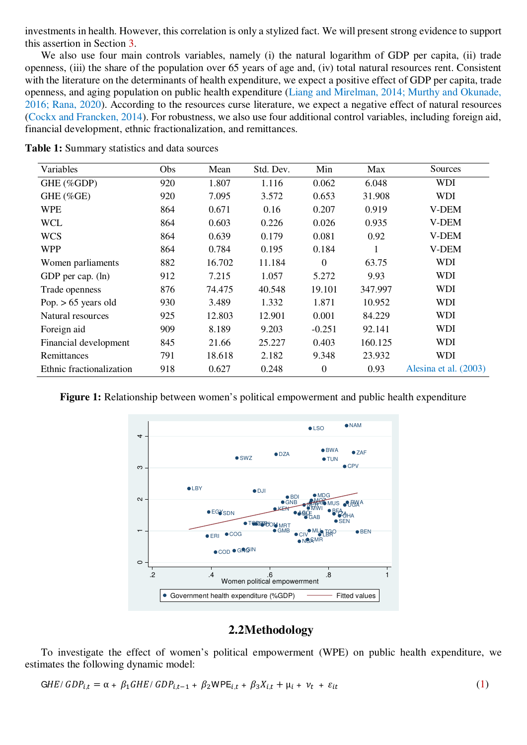investments in health. However, this correlation is only a stylized fact. We will present strong evidence to support this assertion in Section 3.

We also use four main controls variables, namely (i) the natural logarithm of GDP per capita, (ii) trade openness, (iii) the share of the population over 65 years of age and, (iv) total natural resources rent. Consistent with the literature on the determinants of health expenditure, we expect a positive effect of GDP per capita, trade openness, and aging population on public health expenditure (Liang and Mirelman, 2014; Murthy and Okunade, 2016; Rana, 2020). According to the resources curse literature, we expect a negative effect of natural resources (Cockx and Francken, 2014). For robustness, we also use four additional control variables, including foreign aid, financial development, ethnic fractionalization, and remittances.

| Variables                | Obs | Mean   | Std. Dev. | Min          | Max     | Sources               |
|--------------------------|-----|--------|-----------|--------------|---------|-----------------------|
| GHE (%GDP)               | 920 | 1.807  | 1.116     | 0.062        | 6.048   | <b>WDI</b>            |
| GHE (%GE)                | 920 | 7.095  | 3.572     | 0.653        | 31.908  | <b>WDI</b>            |
| <b>WPE</b>               | 864 | 0.671  | 0.16      | 0.207        | 0.919   | V-DEM                 |
| <b>WCL</b>               | 864 | 0.603  | 0.226     | 0.026        | 0.935   | V-DEM                 |
| <b>WCS</b>               | 864 | 0.639  | 0.179     | 0.081        | 0.92    | V-DEM                 |
| <b>WPP</b>               | 864 | 0.784  | 0.195     | 0.184        |         | V-DEM                 |
| Women parliaments        | 882 | 16.702 | 11.184    | $\Omega$     | 63.75   | WDI                   |
| GDP per cap. (ln)        | 912 | 7.215  | 1.057     | 5.272        | 9.93    | <b>WDI</b>            |
| Trade openness           | 876 | 74.475 | 40.548    | 19.101       | 347.997 | <b>WDI</b>            |
| Pop. $> 65$ years old    | 930 | 3.489  | 1.332     | 1.871        | 10.952  | <b>WDI</b>            |
| Natural resources        | 925 | 12.803 | 12.901    | 0.001        | 84.229  | <b>WDI</b>            |
| Foreign aid              | 909 | 8.189  | 9.203     | $-0.251$     | 92.141  | <b>WDI</b>            |
| Financial development    | 845 | 21.66  | 25.227    | 0.403        | 160.125 | <b>WDI</b>            |
| Remittances              | 791 | 18.618 | 2.182     | 9.348        | 23.932  | WDI                   |
| Ethnic fractionalization | 918 | 0.627  | 0.248     | $\mathbf{0}$ | 0.93    | Alesina et al. (2003) |

**Table 1:** Summary statistics and data sources

**Figure 1:** Relationship between women's political empowerment and public health expenditure



## **2.2Methodology**

To investigate the effect of women's political empowerment (WPE) on public health expenditure, we estimates the following dynamic model:

$$
GHE/GDP_{i,t} = \alpha + \beta_1 GHE/GDP_{i,t-1} + \beta_2 WPE_{i,t} + \beta_3 X_{i,t} + \mu_i + \nu_t + \varepsilon_{it}
$$
\n(1)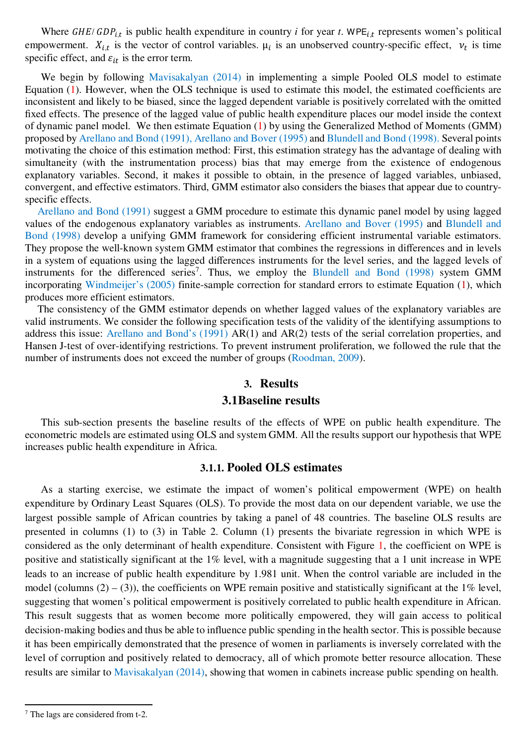Where  $GHE/GDP_{i,t}$  is public health expenditure in country *i* for year *t*. WPE<sub>i,t</sub> represents women's political empowerment.  $X_{i,t}$  is the vector of control variables.  $\mu_i$  is an unobserved country-specific effect,  $v_t$  is time specific effect, and  $\varepsilon_{it}$  is the error term.

We begin by following Mavisakalyan (2014) in implementing a simple Pooled OLS model to estimate Equation  $(1)$ . However, when the OLS technique is used to estimate this model, the estimated coefficients are inconsistent and likely to be biased, since the lagged dependent variable is positively correlated with the omitted fixed effects. The presence of the lagged value of public health expenditure places our model inside the context of dynamic panel model. We then estimate Equation (1) by using the Generalized Method of Moments (GMM) proposed by Arellano and Bond (1991), Arellano and Bover (1995) and Blundell and Bond (1998). Several points motivating the choice of this estimation method: First, this estimation strategy has the advantage of dealing with simultaneity (with the instrumentation process) bias that may emerge from the existence of endogenous explanatory variables. Second, it makes it possible to obtain, in the presence of lagged variables, unbiased, convergent, and effective estimators. Third, GMM estimator also considers the biases that appear due to countryspecific effects.

Arellano and Bond (1991) suggest a GMM procedure to estimate this dynamic panel model by using lagged values of the endogenous explanatory variables as instruments. Arellano and Bover (1995) and Blundell and Bond (1998) develop a unifying GMM framework for considering efficient instrumental variable estimators. They propose the well-known system GMM estimator that combines the regressions in differences and in levels in a system of equations using the lagged differences instruments for the level series, and the lagged levels of instruments for the differenced series<sup>7</sup>. Thus, we employ the Blundell and Bond (1998) system GMM incorporating Windmeijer's (2005) finite-sample correction for standard errors to estimate Equation (1), which produces more efficient estimators.

The consistency of the GMM estimator depends on whether lagged values of the explanatory variables are valid instruments. We consider the following specification tests of the validity of the identifying assumptions to address this issue: Arellano and Bond's (1991) AR(1) and AR(2) tests of the serial correlation properties, and Hansen J-test of over-identifying restrictions. To prevent instrument proliferation, we followed the rule that the number of instruments does not exceed the number of groups (Roodman, 2009).

# **3. Results 3.1Baseline results**

This sub-section presents the baseline results of the effects of WPE on public health expenditure. The econometric models are estimated using OLS and system GMM. All the results support our hypothesis that WPE increases public health expenditure in Africa.

#### **3.1.1. Pooled OLS estimates**

As a starting exercise, we estimate the impact of women's political empowerment (WPE) on health expenditure by Ordinary Least Squares (OLS). To provide the most data on our dependent variable, we use the largest possible sample of African countries by taking a panel of 48 countries. The baseline OLS results are presented in columns (1) to (3) in Table 2. Column (1) presents the bivariate regression in which WPE is considered as the only determinant of health expenditure. Consistent with Figure 1, the coefficient on WPE is positive and statistically significant at the 1% level, with a magnitude suggesting that a 1 unit increase in WPE leads to an increase of public health expenditure by 1.981 unit. When the control variable are included in the model (columns  $(2) - (3)$ ), the coefficients on WPE remain positive and statistically significant at the 1% level, suggesting that women's political empowerment is positively correlated to public health expenditure in African. This result suggests that as women become more politically empowered, they will gain access to political decision-making bodies and thus be able to influence public spending in the health sector. This is possible because it has been empirically demonstrated that the presence of women in parliaments is inversely correlated with the level of corruption and positively related to democracy, all of which promote better resource allocation. These results are similar to Mavisakalyan (2014), showing that women in cabinets increase public spending on health.

<sup>&</sup>lt;sup>7</sup> The lags are considered from t-2.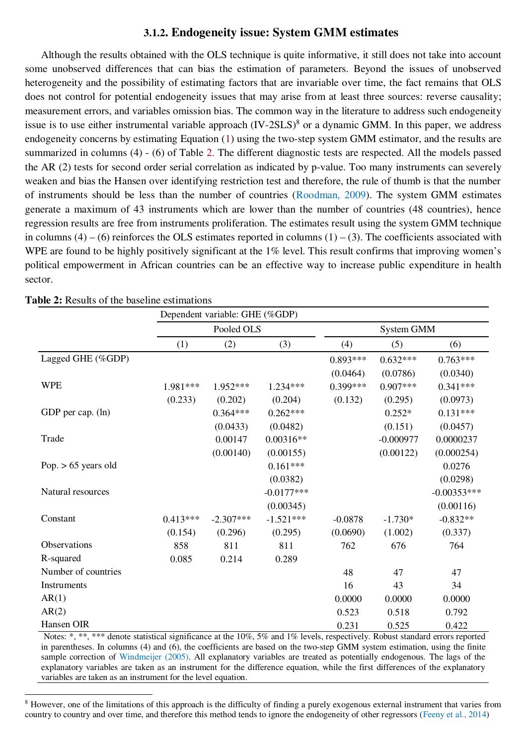### **3.1.2. Endogeneity issue: System GMM estimates**

Although the results obtained with the OLS technique is quite informative, it still does not take into account some unobserved differences that can bias the estimation of parameters. Beyond the issues of unobserved heterogeneity and the possibility of estimating factors that are invariable over time, the fact remains that OLS does not control for potential endogeneity issues that may arise from at least three sources: reverse causality; measurement errors, and variables omission bias. The common way in the literature to address such endogeneity issue is to use either instrumental variable approach (IV-2SLS)<sup>8</sup> or a dynamic GMM. In this paper, we address endogeneity concerns by estimating Equation (1) using the two-step system GMM estimator, and the results are summarized in columns (4) - (6) of Table 2. The different diagnostic tests are respected. All the models passed the AR (2) tests for second order serial correlation as indicated by p-value. Too many instruments can severely weaken and bias the Hansen over identifying restriction test and therefore, the rule of thumb is that the number of instruments should be less than the number of countries (Roodman, 2009). The system GMM estimates generate a maximum of 43 instruments which are lower than the number of countries (48 countries), hence regression results are free from instruments proliferation. The estimates result using the system GMM technique in columns  $(4) - (6)$  reinforces the OLS estimates reported in columns  $(1) - (3)$ . The coefficients associated with WPE are found to be highly positively significant at the 1% level. This result confirms that improving women's political empowerment in African countries can be an effective way to increase public expenditure in health sector.

|                       |            | Dependent variable: GHE (%GDP) |              |            |             |               |  |
|-----------------------|------------|--------------------------------|--------------|------------|-------------|---------------|--|
|                       |            | Pooled OLS                     |              | System GMM |             |               |  |
|                       | (1)        | (2)                            | (3)          | (4)        | (5)         | (6)           |  |
| Lagged GHE (%GDP)     |            |                                |              | $0.893***$ | $0.632***$  | $0.763***$    |  |
|                       |            |                                |              | (0.0464)   | (0.0786)    | (0.0340)      |  |
| <b>WPE</b>            | 1.981***   | 1.952***                       | $1.234***$   | $0.399***$ | $0.907***$  | $0.341***$    |  |
|                       | (0.233)    | (0.202)                        | (0.204)      | (0.132)    | (0.295)     | (0.0973)      |  |
| GDP per cap. (ln)     |            | $0.364***$                     | $0.262***$   |            | $0.252*$    | $0.131***$    |  |
|                       |            | (0.0433)                       | (0.0482)     |            | (0.151)     | (0.0457)      |  |
| Trade                 |            | 0.00147                        | $0.00316**$  |            | $-0.000977$ | 0.0000237     |  |
|                       |            | (0.00140)                      | (0.00155)    |            | (0.00122)   | (0.000254)    |  |
| Pop. $> 65$ years old |            |                                | $0.161***$   |            |             | 0.0276        |  |
|                       |            |                                | (0.0382)     |            |             | (0.0298)      |  |
| Natural resources     |            |                                | $-0.0177***$ |            |             | $-0.00353***$ |  |
|                       |            |                                | (0.00345)    |            |             | (0.00116)     |  |
| Constant              | $0.413***$ | $-2.307***$                    | $-1.521***$  | $-0.0878$  | $-1.730*$   | $-0.832**$    |  |
|                       | (0.154)    | (0.296)                        | (0.295)      | (0.0690)   | (1.002)     | (0.337)       |  |
| Observations          | 858        | 811                            | 811          | 762        | 676         | 764           |  |
| R-squared             | 0.085      | 0.214                          | 0.289        |            |             |               |  |
| Number of countries   |            |                                |              | 48         | 47          | 47            |  |
| Instruments           |            |                                |              | 16         | 43          | 34            |  |
| AR(1)                 |            |                                |              | 0.0000     | 0.0000      | 0.0000        |  |
| AR(2)                 |            |                                |              | 0.523      | 0.518       | 0.792         |  |
| Hansen OIR            |            |                                |              | 0.231      | 0.525       | 0.422         |  |

 $\overline{a}$ 

Notes: \*, \*\*, \*\*\* denote statistical significance at the 10%, 5% and 1% levels, respectively. Robust standard errors reported in parentheses. In columns (4) and (6), the coefficients are based on the two-step GMM system estimation, using the finite sample correction of Windmeijer (2005). All explanatory variables are treated as potentially endogenous. The lags of the explanatory variables are taken as an instrument for the difference equation, while the first differences of the explanatory variables are taken as an instrument for the level equation.

<sup>&</sup>lt;sup>8</sup> However, one of the limitations of this approach is the difficulty of finding a purely exogenous external instrument that varies from country to country and over time, and therefore this method tends to ignore the endogeneity of other regressors (Feeny et al., 2014)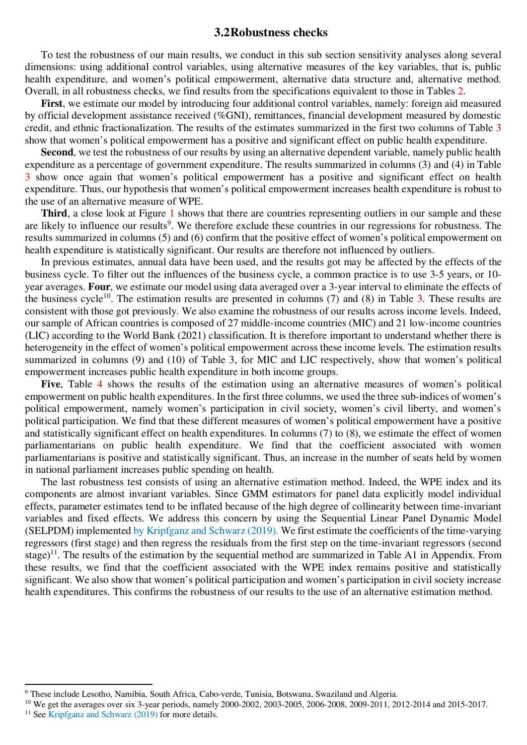#### **3.2Robustness checks**

To test the robustness of our main results, we conduct in this sub section sensitivity analyses along several dimensions: using additional control variables, using alternative measures of the key variables, that is, public health expenditure, and women's political empowerment, alternative data structure and, alternative method. Overall, in all robustness checks, we find results from the specifications equivalent to those in Tables 2.

**First**, we estimate our model by introducing four additional control variables, namely: foreign aid measured by official development assistance received (%GNI), remittances, financial development measured by domestic credit, and ethnic fractionalization. The results of the estimates summarized in the first two columns of Table 3 show that women's political empowerment has a positive and significant effect on public health expenditure.

**Second**, we test the robustness of our results by using an alternative dependent variable, namely public health expenditure as a percentage of government expenditure. The results summarized in columns (3) and (4) in Table 3 show once again that women's political empowerment has a positive and significant effect on health expenditure. Thus, our hypothesis that women's political empowerment increases health expenditure is robust to the use of an alternative measure of WPE.

**Third**, a close look at Figure 1 shows that there are countries representing outliers in our sample and these are likely to influence our results<sup>9</sup>. We therefore exclude these countries in our regressions for robustness. The results summarized in columns (5) and (6) confirm that the positive effect of women's political empowerment on health expenditure is statistically significant. Our results are therefore not influenced by outliers.

In previous estimates, annual data have been used, and the results got may be affected by the effects of the business cycle. To filter out the influences of the business cycle, a common practice is to use 3-5 years, or 10 year averages. **Four**, we estimate our model using data averaged over a 3-year interval to eliminate the effects of the business cycle<sup>10</sup>. The estimation results are presented in columns  $(7)$  and  $(8)$  in Table 3. These results are consistent with those got previously. We also examine the robustness of our results across income levels. Indeed, our sample of African countries is composed of 27 middle-income countries (MIC) and 21 low-income countries (LIC) according to the World Bank (2021) classification. It is therefore important to understand whether there is heterogeneity in the effect of women's political empowerment across these income levels. The estimation results summarized in columns (9) and (10) of Table 3, for MIC and LIC respectively, show that women's political empowerment increases public health expenditure in both income groups.

**Five**, Table 4 shows the results of the estimation using an alternative measures of women's political empowerment on public health expenditures. In the first three columns, we used the three sub-indices of women's political empowerment, namely women's participation in civil society, women's civil liberty, and women's political participation. We find that these different measures of women's political empowerment have a positive and statistically significant effect on health expenditures. In columns (7) to (8), we estimate the effect of women parliamentarians on public health expenditure. We find that the coefficient associated with women parliamentarians is positive and statistically significant. Thus, an increase in the number of seats held by women in national parliament increases public spending on health.

The last robustness test consists of using an alternative estimation method. Indeed, the WPE index and its components are almost invariant variables. Since GMM estimators for panel data explicitly model individual effects, parameter estimates tend to be inflated because of the high degree of collinearity between time-invariant variables and fixed effects. We address this concern by using the Sequential Linear Panel Dynamic Model (SELPDM) implemented by Kripfganz and Schwarz (2019). We first estimate the coefficients of the time-varying regressors (first stage) and then regress the residuals from the first step on the time-invariant regressors (second stage)<sup>11</sup>. The results of the estimation by the sequential method are summarized in Table A1 in Appendix. From these results, we find that the coefficient associated with the WPE index remains positive and statistically significant. We also show that women's political participation and women's participation in civil society increase health expenditures. This confirms the robustness of our results to the use of an alternative estimation method.

 $\overline{a}$ 

<sup>&</sup>lt;sup>9</sup> These include Lesotho, Namibia, South Africa, Cabo-verde, Tunisia, Botswana, Swaziland and Algeria.

<sup>&</sup>lt;sup>10</sup> We get the averages over six 3-year periods, namely 2000-2002, 2003-2005, 2006-2008, 2009-2011, 2012-2014 and 2015-2017.

<sup>&</sup>lt;sup>11</sup> See Kripfganz and Schwarz (2019) for more details.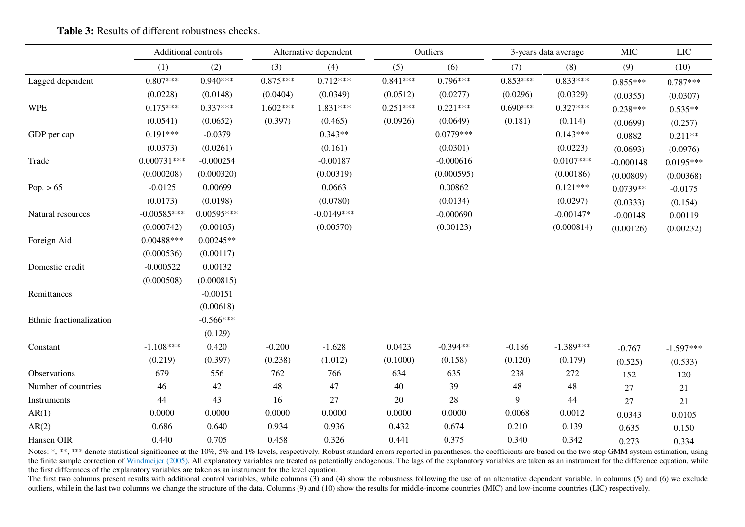|                          | Additional controls |              |            | Alternative dependent | Outliers   |             | 3-years data average |             | <b>MIC</b>  | <b>LIC</b>  |
|--------------------------|---------------------|--------------|------------|-----------------------|------------|-------------|----------------------|-------------|-------------|-------------|
|                          | (1)                 | (2)          | (3)        | (4)                   | (5)        | (6)         | (7)                  | (8)         | (9)         | (10)        |
| Lagged dependent         | $0.807***$          | $0.940***$   | $0.875***$ | $0.712***$            | $0.841***$ | $0.796***$  | $0.853***$           | $0.833***$  | $0.855***$  | $0.787***$  |
|                          | (0.0228)            | (0.0148)     | (0.0404)   | (0.0349)              | (0.0512)   | (0.0277)    | (0.0296)             | (0.0329)    | (0.0355)    | (0.0307)    |
| <b>WPE</b>               | $0.175***$          | $0.337***$   | $1.602***$ | 1.831***              | $0.251***$ | $0.221***$  | $0.690***$           | $0.327***$  | $0.238***$  | $0.535**$   |
|                          | (0.0541)            | (0.0652)     | (0.397)    | (0.465)               | (0.0926)   | (0.0649)    | (0.181)              | (0.114)     | (0.0699)    | (0.257)     |
| GDP per cap              | $0.191***$          | $-0.0379$    |            | $0.343**$             |            | $0.0779***$ |                      | $0.143***$  | 0.0882      | $0.211**$   |
|                          | (0.0373)            | (0.0261)     |            | (0.161)               |            | (0.0301)    |                      | (0.0223)    | (0.0693)    | (0.0976)    |
| Trade                    | $0.000731***$       | $-0.000254$  |            | $-0.00187$            |            | $-0.000616$ |                      | $0.0107***$ | $-0.000148$ | $0.0195***$ |
|                          | (0.000208)          | (0.000320)   |            | (0.00319)             |            | (0.000595)  |                      | (0.00186)   | (0.00809)   | (0.00368)   |
| Pop. $> 65$              | $-0.0125$           | 0.00699      |            | 0.0663                |            | 0.00862     |                      | $0.121***$  | $0.0739**$  | $-0.0175$   |
|                          | (0.0173)            | (0.0198)     |            | (0.0780)              |            | (0.0134)    |                      | (0.0297)    | (0.0333)    | (0.154)     |
| Natural resources        | $-0.00585***$       | $0.00595***$ |            | $-0.0149***$          |            | $-0.000690$ |                      | $-0.00147*$ | $-0.00148$  | 0.00119     |
|                          | (0.000742)          | (0.00105)    |            | (0.00570)             |            | (0.00123)   |                      | (0.000814)  | (0.00126)   | (0.00232)   |
| Foreign Aid              | $0.00488***$        | $0.00245**$  |            |                       |            |             |                      |             |             |             |
|                          | (0.000536)          | (0.00117)    |            |                       |            |             |                      |             |             |             |
| Domestic credit          | $-0.000522$         | 0.00132      |            |                       |            |             |                      |             |             |             |
|                          | (0.000508)          | (0.000815)   |            |                       |            |             |                      |             |             |             |
| Remittances              |                     | $-0.00151$   |            |                       |            |             |                      |             |             |             |
|                          |                     | (0.00618)    |            |                       |            |             |                      |             |             |             |
| Ethnic fractionalization |                     | $-0.566***$  |            |                       |            |             |                      |             |             |             |
|                          |                     | (0.129)      |            |                       |            |             |                      |             |             |             |
| Constant                 | $-1.108***$         | 0.420        | $-0.200$   | $-1.628$              | 0.0423     | $-0.394**$  | $-0.186$             | $-1.389***$ | $-0.767$    | $-1.597***$ |
|                          | (0.219)             | (0.397)      | (0.238)    | (1.012)               | (0.1000)   | (0.158)     | (0.120)              | (0.179)     | (0.525)     | (0.533)     |
| Observations             | 679                 | 556          | 762        | 766                   | 634        | 635         | 238                  | 272         | 152         | 120         |
| Number of countries      | 46                  | $42\,$       | 48         | 47                    | 40         | 39          | $\sqrt{48}$          | $\sqrt{48}$ | 27          | 21          |
| Instruments              | 44                  | 43           | 16         | 27                    | 20         | 28          | 9                    | 44          | 27          | 21          |
| AR(1)                    | 0.0000              | 0.0000       | 0.0000     | 0.0000                | 0.0000     | 0.0000      | 0.0068               | 0.0012      | 0.0343      | 0.0105      |
| AR(2)                    | 0.686               | 0.640        | 0.934      | 0.936                 | 0.432      | 0.674       | 0.210                | 0.139       | 0.635       | 0.150       |
| Hansen OIR               | 0.440               | 0.705        | 0.458      | 0.326                 | 0.441      | 0.375       | 0.340                | 0.342       | 0.273       | 0.334       |

**Table 3:** Results of different robustness checks.

Notes: \*, \*\*\* denote statistical significance at the 10%, 5% and 1% levels, respectively. Robust standard errors reported in parentheses. the coefficients are based on the two-step GMM system estimation, using the finite sample correction of Windmeijer (2005). All explanatory variables are treated as potentially endogenous. The lags of the explanatory variables are taken as an instrument for the difference equation, while the first differences of the explanatory variables are taken as an instrument for the level equation.

The first two columns present results with additional control variables, while columns  $(3)$  and  $(4)$  show the robustness following the use of an alternative dependent variable. In columns  $(5)$  and  $(6)$  we exclude outliers, while in the last two columns we change the structure of the data. Columns (9) and (10) show the results for middle-income countries (MIC) and low-income countries (LIC) respectively.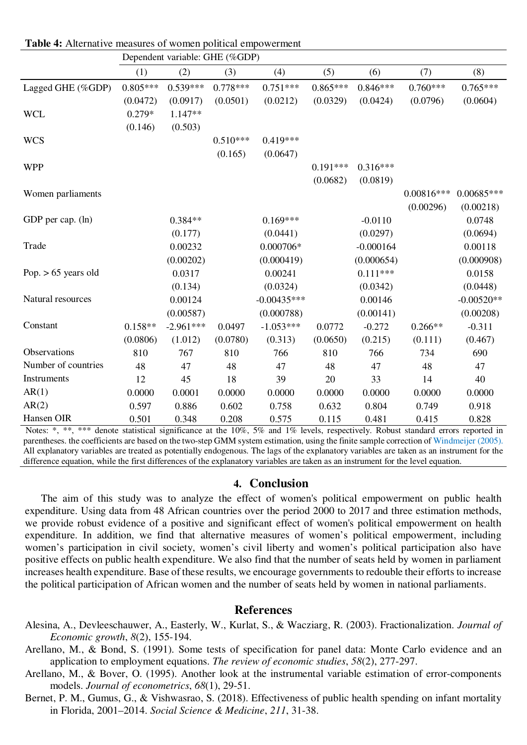|                       | Dependent variable: GHE (%GDP) |             |            |               |            |             |              |              |
|-----------------------|--------------------------------|-------------|------------|---------------|------------|-------------|--------------|--------------|
|                       | (1)                            | (2)         | (3)        | (4)           | (5)        | (6)         | (7)          | (8)          |
| Lagged GHE (%GDP)     | $0.805***$                     | $0.539***$  | $0.778***$ | $0.751***$    | $0.865***$ | $0.846***$  | $0.760***$   | $0.765***$   |
|                       | (0.0472)                       | (0.0917)    | (0.0501)   | (0.0212)      | (0.0329)   | (0.0424)    | (0.0796)     | (0.0604)     |
| <b>WCL</b>            | $0.279*$                       | 1.147**     |            |               |            |             |              |              |
|                       | (0.146)                        | (0.503)     |            |               |            |             |              |              |
| <b>WCS</b>            |                                |             | $0.510***$ | $0.419***$    |            |             |              |              |
|                       |                                |             | (0.165)    | (0.0647)      |            |             |              |              |
| <b>WPP</b>            |                                |             |            |               | $0.191***$ | $0.316***$  |              |              |
|                       |                                |             |            |               | (0.0682)   | (0.0819)    |              |              |
| Women parliaments     |                                |             |            |               |            |             | $0.00816***$ | $0.00685***$ |
|                       |                                |             |            |               |            |             | (0.00296)    | (0.00218)    |
| GDP per cap. (ln)     |                                | $0.384**$   |            | $0.169***$    |            | $-0.0110$   |              | 0.0748       |
|                       |                                | (0.177)     |            | (0.0441)      |            | (0.0297)    |              | (0.0694)     |
| Trade                 |                                | 0.00232     |            | $0.000706*$   |            | $-0.000164$ |              | 0.00118      |
|                       |                                | (0.00202)   |            | (0.000419)    |            | (0.000654)  |              | (0.000908)   |
| Pop. $> 65$ years old |                                | 0.0317      |            | 0.00241       |            | $0.111***$  |              | 0.0158       |
|                       |                                | (0.134)     |            | (0.0324)      |            | (0.0342)    |              | (0.0448)     |
| Natural resources     |                                | 0.00124     |            | $-0.00435***$ |            | 0.00146     |              | $-0.00520**$ |
|                       |                                | (0.00587)   |            | (0.000788)    |            | (0.00141)   |              | (0.00208)    |
| Constant              | $0.158**$                      | $-2.961***$ | 0.0497     | $-1.053***$   | 0.0772     | $-0.272$    | $0.266**$    | $-0.311$     |
|                       | (0.0806)                       | (1.012)     | (0.0780)   | (0.313)       | (0.0650)   | (0.215)     | (0.111)      | (0.467)      |
| Observations          | 810                            | 767         | 810        | 766           | 810        | 766         | 734          | 690          |
| Number of countries   | 48                             | 47          | 48         | 47            | 48         | 47          | 48           | 47           |
| Instruments           | 12                             | 45          | 18         | 39            | 20         | 33          | 14           | 40           |
| AR(1)                 | 0.0000                         | 0.0001      | 0.0000     | 0.0000        | 0.0000     | 0.0000      | 0.0000       | 0.0000       |
| AR(2)                 | 0.597                          | 0.886       | 0.602      | 0.758         | 0.632      | 0.804       | 0.749        | 0.918        |
| Hansen OIR            | 0.501                          | 0.348       | 0.208      | 0.575         | 0.115      | 0.481       | 0.415        | 0.828        |

**Table 4:** Alternative measures of women political empowerment

Notes: \*, \*\*\* denote statistical significance at the 10%, 5% and 1% levels, respectively. Robust standard errors reported in parentheses. the coefficients are based on the two-step GMM system estimation, using the finite sample correction of Windmeijer (2005). All explanatory variables are treated as potentially endogenous. The lags of the explanatory variables are taken as an instrument for the difference equation, while the first differences of the explanatory variables are taken as an instrument for the level equation.

#### **4. Conclusion**

The aim of this study was to analyze the effect of women's political empowerment on public health expenditure. Using data from 48 African countries over the period 2000 to 2017 and three estimation methods, we provide robust evidence of a positive and significant effect of women's political empowerment on health expenditure. In addition, we find that alternative measures of women's political empowerment, including women's participation in civil society, women's civil liberty and women's political participation also have positive effects on public health expenditure. We also find that the number of seats held by women in parliament increases health expenditure. Base of these results, we encourage governments to redouble their efforts to increase the political participation of African women and the number of seats held by women in national parliaments.

#### **References**

Alesina, A., Devleeschauwer, A., Easterly, W., Kurlat, S., & Wacziarg, R. (2003). Fractionalization. *Journal of Economic growth*, *8*(2), 155-194.

Arellano, M., & Bond, S. (1991). Some tests of specification for panel data: Monte Carlo evidence and an application to employment equations. *The review of economic studies*, *58*(2), 277-297.

- Arellano, M., & Bover, O. (1995). Another look at the instrumental variable estimation of error-components models. *Journal of econometrics*, *68*(1), 29-51.
- Bernet, P. M., Gumus, G., & Vishwasrao, S. (2018). Effectiveness of public health spending on infant mortality in Florida, 2001–2014. *Social Science & Medicine*, *211*, 31-38.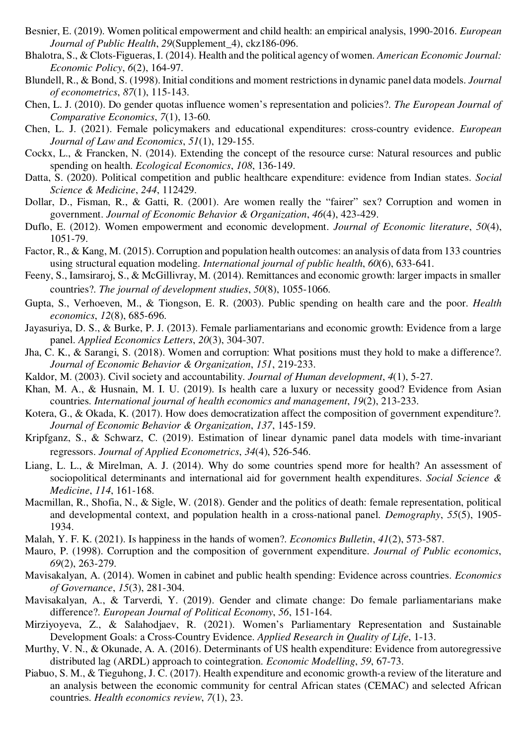- Besnier, E. (2019). Women political empowerment and child health: an empirical analysis, 1990-2016. *European Journal of Public Health*, *29*(Supplement\_4), ckz186-096.
- Bhalotra, S., & Clots-Figueras, I. (2014). Health and the political agency of women. *American Economic Journal: Economic Policy*, *6*(2), 164-97.
- Blundell, R., & Bond, S. (1998). Initial conditions and moment restrictions in dynamic panel data models. *Journal of econometrics*, *87*(1), 115-143.
- Chen, L. J. (2010). Do gender quotas influence women's representation and policies?. *The European Journal of Comparative Economics*, *7*(1), 13-60.
- Chen, L. J. (2021). Female policymakers and educational expenditures: cross-country evidence. *European Journal of Law and Economics*, *51*(1), 129-155.
- Cockx, L., & Francken, N. (2014). Extending the concept of the resource curse: Natural resources and public spending on health. *Ecological Economics*, *108*, 136-149.
- Datta, S. (2020). Political competition and public healthcare expenditure: evidence from Indian states. *Social Science & Medicine*, *244*, 112429.
- Dollar, D., Fisman, R., & Gatti, R. (2001). Are women really the "fairer" sex? Corruption and women in government. *Journal of Economic Behavior & Organization*, *46*(4), 423-429.
- Duflo, E. (2012). Women empowerment and economic development. *Journal of Economic literature*, *50*(4), 1051-79.
- Factor, R., & Kang, M. (2015). Corruption and population health outcomes: an analysis of data from 133 countries using structural equation modeling. *International journal of public health*, *60*(6), 633-641.
- Feeny, S., Iamsiraroj, S., & McGillivray, M. (2014). Remittances and economic growth: larger impacts in smaller countries?. *The journal of development studies*, *50*(8), 1055-1066.
- Gupta, S., Verhoeven, M., & Tiongson, E. R. (2003). Public spending on health care and the poor. *Health economics*, *12*(8), 685-696.
- Jayasuriya, D. S., & Burke, P. J. (2013). Female parliamentarians and economic growth: Evidence from a large panel. *Applied Economics Letters*, *20*(3), 304-307.
- Jha, C. K., & Sarangi, S. (2018). Women and corruption: What positions must they hold to make a difference?. *Journal of Economic Behavior & Organization*, *151*, 219-233.
- Kaldor, M. (2003). Civil society and accountability. *Journal of Human development*, *4*(1), 5-27.
- Khan, M. A., & Husnain, M. I. U. (2019). Is health care a luxury or necessity good? Evidence from Asian countries. *International journal of health economics and management*, *19*(2), 213-233.
- Kotera, G., & Okada, K. (2017). How does democratization affect the composition of government expenditure?. *Journal of Economic Behavior & Organization*, *137*, 145-159.
- Kripfganz, S., & Schwarz, C.  $(2019)$ . Estimation of linear dynamic panel data models with time-invariant regressors. *Journal of Applied Econometrics*, *34*(4), 526-546.
- Liang, L. L., & Mirelman, A. J. (2014). Why do some countries spend more for health? An assessment of sociopolitical determinants and international aid for government health expenditures. *Social Science & Medicine*, *114*, 161-168.
- Macmillan, R., Shofia, N., & Sigle, W. (2018). Gender and the politics of death: female representation, political and developmental context, and population health in a cross-national panel. *Demography*, *55*(5), 1905- 1934.
- Malah, Y. F. K. (2021). Is happiness in the hands of women?. *Economics Bulletin*, *41*(2), 573-587.
- Mauro, P. (1998). Corruption and the composition of government expenditure. *Journal of Public economics*, *69*(2), 263-279.
- Mavisakalyan, A. (2014). Women in cabinet and public health spending: Evidence across countries. *Economics of Governance*, *15*(3), 281-304.
- Mavisakalyan, A., & Tarverdi, Y. (2019). Gender and climate change: Do female parliamentarians make difference?. *European Journal of Political Economy*, *56*, 151-164.
- Mirziyoyeva, Z., & Salahodjaev, R. (2021). Women's Parliamentary Representation and Sustainable Development Goals: a Cross-Country Evidence. *Applied Research in Quality of Life*, 1-13.
- Murthy, V. N., & Okunade, A. A. (2016). Determinants of US health expenditure: Evidence from autoregressive distributed lag (ARDL) approach to cointegration. *Economic Modelling*, *59*, 67-73.
- Piabuo, S. M., & Tieguhong, J. C. (2017). Health expenditure and economic growth-a review of the literature and an analysis between the economic community for central African states (CEMAC) and selected African countries. *Health economics review*, *7*(1), 23.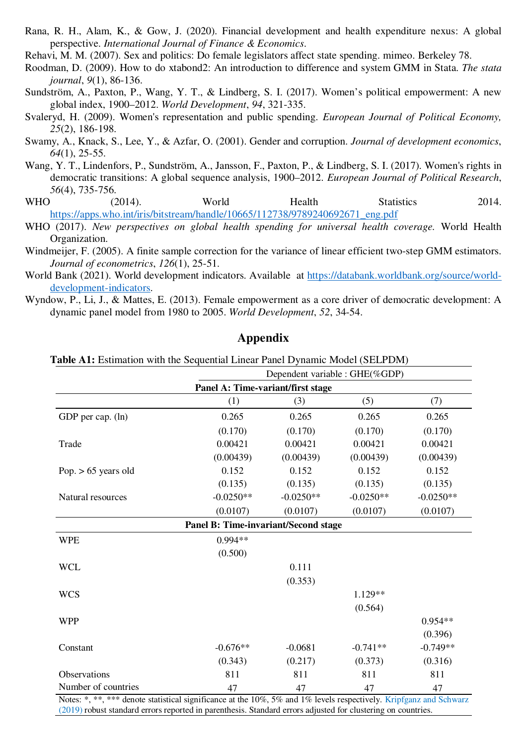Rana, R. H., Alam, K., & Gow, J. (2020). Financial development and health expenditure nexus: A global perspective. *International Journal of Finance & Economics*.

Rehavi, M. M. (2007). Sex and politics: Do female legislators affect state spending. mimeo. Berkeley 78.

- Roodman, D. (2009). How to do xtabond2: An introduction to difference and system GMM in Stata. *The stata journal*, *9*(1), 86-136.
- Sundström, A., Paxton, P., Wang, Y. T., & Lindberg, S. I. (2017). Women's political empowerment: A new global index, 1900–2012. *World Development*, *94*, 321-335.
- Svaleryd, H. (2009). Women's representation and public spending. *European Journal of Political Economy, 25*(2), 186-198.
- Swamy, A., Knack, S., Lee, Y., & Azfar, O. (2001). Gender and corruption. *Journal of development economics*, *64*(1), 25-55.
- Wang, Y. T., Lindenfors, P., Sundström, A., Jansson, F., Paxton, P., & Lindberg, S. I. (2017). Women's rights in democratic transitions: A global sequence analysis, 1900–2012. *European Journal of Political Research*, *56*(4), 735-756.
- WHO (2014). World Health Statistics 2014. https://apps.who.int/iris/bitstream/handle/10665/112738/9789240692671\_eng.pdf
- WHO (2017). *New perspectives on global health spending for universal health coverage.* World Health Organization.
- Windmeijer, F. (2005). A finite sample correction for the variance of linear efficient two-step GMM estimators. *Journal of econometrics*, *126*(1), 25-51.
- World Bank (2021). World development indicators. Available at https://databank.worldbank.org/source/worlddevelopment-indicators.
- Wyndow, P., Li, J., & Mattes, E. (2013). Female empowerment as a core driver of democratic development: A dynamic panel model from 1980 to 2005. *World Development*, *52*, 34-54.

### **Appendix**

**Table A1:** Estimation with the Sequential Linear Panel Dynamic Model (SELPDM)

|                                                                                                                | Dependent variable : GHE(%GDP)       |             |             |             |  |  |
|----------------------------------------------------------------------------------------------------------------|--------------------------------------|-------------|-------------|-------------|--|--|
|                                                                                                                | Panel A: Time-variant/first stage    |             |             |             |  |  |
|                                                                                                                | (1)                                  | (3)         | (5)         | (7)         |  |  |
| GDP per cap. (ln)                                                                                              | 0.265                                | 0.265       | 0.265       | 0.265       |  |  |
|                                                                                                                | (0.170)                              | (0.170)     | (0.170)     | (0.170)     |  |  |
| Trade                                                                                                          | 0.00421                              | 0.00421     | 0.00421     | 0.00421     |  |  |
|                                                                                                                | (0.00439)                            | (0.00439)   | (0.00439)   | (0.00439)   |  |  |
| Pop. $> 65$ years old                                                                                          | 0.152                                | 0.152       | 0.152       | 0.152       |  |  |
|                                                                                                                | (0.135)                              | (0.135)     | (0.135)     | (0.135)     |  |  |
| Natural resources                                                                                              | $-0.0250**$                          | $-0.0250**$ | $-0.0250**$ | $-0.0250**$ |  |  |
|                                                                                                                | (0.0107)                             | (0.0107)    | (0.0107)    | (0.0107)    |  |  |
|                                                                                                                | Panel B: Time-invariant/Second stage |             |             |             |  |  |
| <b>WPE</b>                                                                                                     | $0.994**$                            |             |             |             |  |  |
|                                                                                                                | (0.500)                              |             |             |             |  |  |
| <b>WCL</b>                                                                                                     |                                      | 0.111       |             |             |  |  |
|                                                                                                                |                                      | (0.353)     |             |             |  |  |
| <b>WCS</b>                                                                                                     |                                      |             | $1.129**$   |             |  |  |
|                                                                                                                |                                      |             | (0.564)     |             |  |  |
| <b>WPP</b>                                                                                                     |                                      |             |             | $0.954**$   |  |  |
|                                                                                                                |                                      |             |             | (0.396)     |  |  |
| Constant                                                                                                       | $-0.676**$                           | $-0.0681$   | $-0.741**$  | $-0.749**$  |  |  |
|                                                                                                                | (0.343)                              | (0.217)     | (0.373)     | (0.316)     |  |  |
| Observations                                                                                                   | 811                                  | 811         | 811         | 811         |  |  |
| Number of countries                                                                                            | 47                                   | 47          | 47          | 47          |  |  |
| Notes: * ** *** denote statistical significance at the 10% 5% and 1% levels respectively Kripfganz and Schwarz |                                      |             |             |             |  |  |

Notes: \*, \*\*, \*\*\* denote statistical significance at the 10%, 5% and 1% levels respectively. Kriptganz and Schwarz (2019) robust standard errors reported in parenthesis. Standard errors adjusted for clustering on countries.